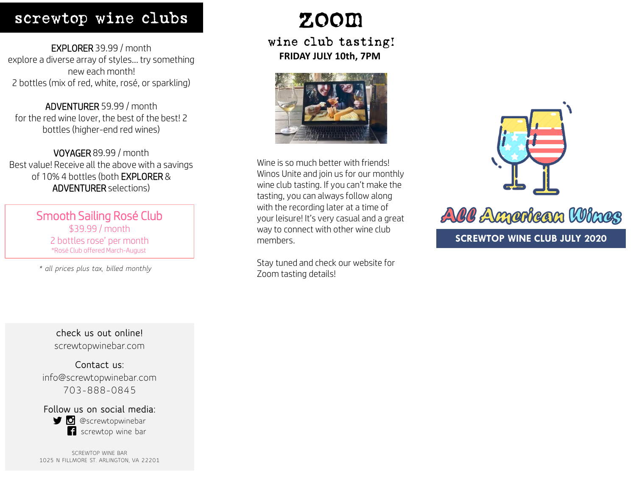### screwtop wine clubs

EXPLORER 39.99 / month explore a diverse array of styles… try something new each month! 2 bottles (mix of red, white, rosé, or sparkling)

ADVENTURER 59.99 / month for the red wine lover, the best of the best! 2 bottles (higher-end red wines)

VOYAGER 89.99 / month Best value! Receive all the above with a savings of 10% 4 bottles (both EXPLORER & ADVENTURER selections)

> Smooth Sailing Rosé Club \$39.99 / month 2 bottles rose' per month \*Rosé Club offered March-August

*\* all prices plus tax, billed monthly*

**check us out online!** screwtopwinebar.com

**Contact us:** info@screwtopwinebar.com 703-888-0845

**Follow us on social media: g** @screwtopwinebar screwtop wine bar

SCREWTOP WINE BAR 1025 N FILLMORE ST. ARLINGTON, VA 22201

# zoom

wine club tasting! **FRIDAY JULY 10th, 7PM**



Wine is so much better with friends! Winos Unite and join us for our monthly wine club tasting. If you can't make the tasting, you can always follow along with the recording later at a time of your leisure! It's very casual and a great way to connect with other wine club members.

Stay tuned and check our website for Zoom tasting details!



AIC American Wines **SCREWTOP WINE CLUB JULY 2020**